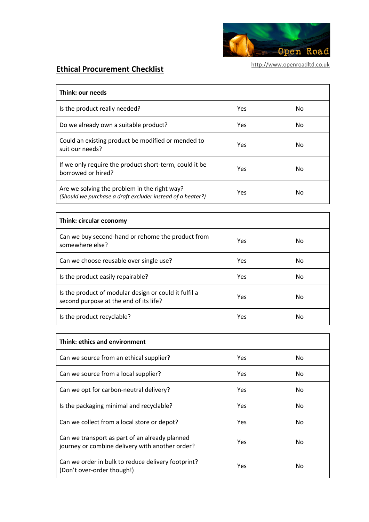

## **Ethical Procurement Checklist**

| Think: our needs                                                                                           |     |     |  |  |
|------------------------------------------------------------------------------------------------------------|-----|-----|--|--|
| Is the product really needed?                                                                              | Yes | No. |  |  |
| Do we already own a suitable product?                                                                      | Yes | No. |  |  |
| Could an existing product be modified or mended to<br>suit our needs?                                      | Yes | No. |  |  |
| If we only require the product short-term, could it be<br>borrowed or hired?                               | Yes | No. |  |  |
| Are we solving the problem in the right way?<br>(Should we purchase a draft excluder instead of a heater?) | Yes | No  |  |  |

| Think: circular economy                                                                         |            |    |  |  |
|-------------------------------------------------------------------------------------------------|------------|----|--|--|
| Can we buy second-hand or rehome the product from<br>somewhere else?                            | Yes        | No |  |  |
| Can we choose reusable over single use?                                                         | <b>Yes</b> | No |  |  |
| Is the product easily repairable?                                                               | <b>Yes</b> | No |  |  |
| Is the product of modular design or could it fulfil a<br>second purpose at the end of its life? | <b>Yes</b> | No |  |  |
| Is the product recyclable?                                                                      | Yes        | No |  |  |

| Think: ethics and environment                                                                     |            |     |  |  |
|---------------------------------------------------------------------------------------------------|------------|-----|--|--|
| Can we source from an ethical supplier?                                                           | Yes        | No. |  |  |
| Can we source from a local supplier?                                                              | <b>Yes</b> | No. |  |  |
| Can we opt for carbon-neutral delivery?                                                           | <b>Yes</b> | No. |  |  |
| Is the packaging minimal and recyclable?                                                          | Yes        | No. |  |  |
| Can we collect from a local store or depot?                                                       | <b>Yes</b> | No. |  |  |
| Can we transport as part of an already planned<br>journey or combine delivery with another order? | Yes        | No  |  |  |
| Can we order in bulk to reduce delivery footprint?<br>(Don't over-order though!)                  | Yes        | No  |  |  |